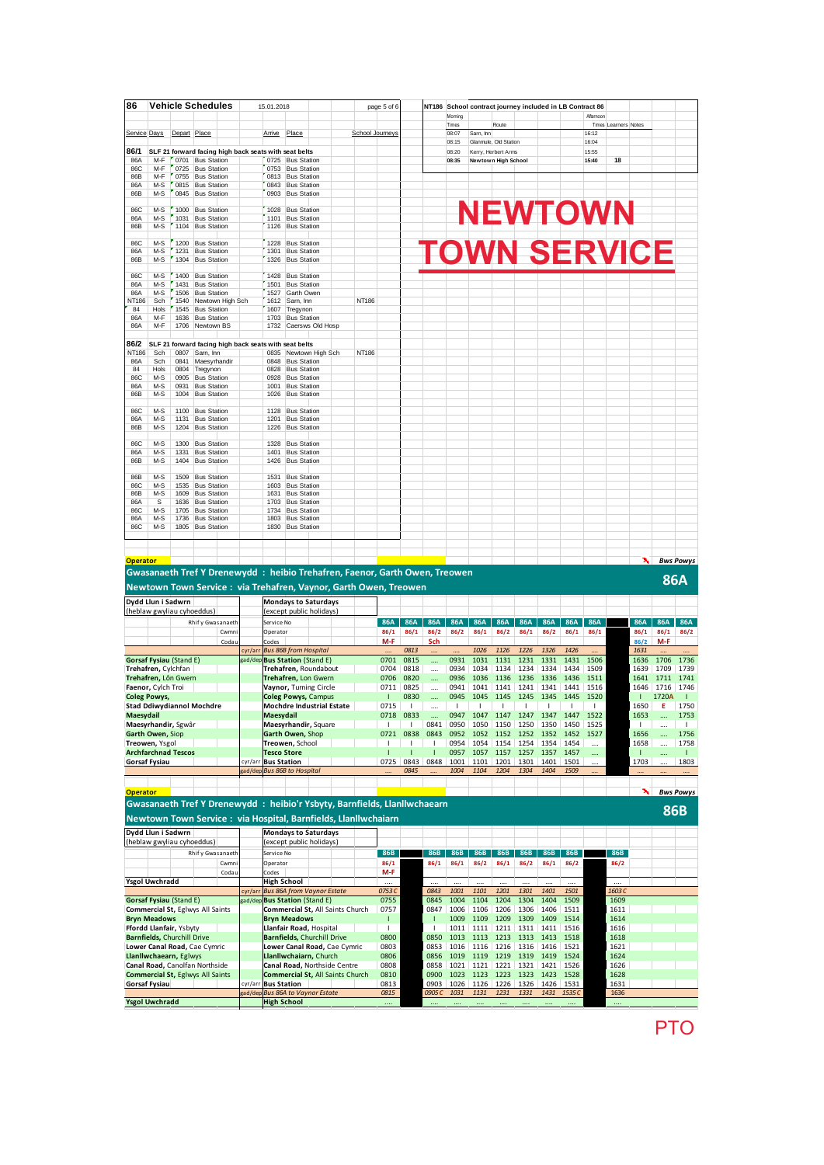| <b>Operator</b>                                                            |                   |       |                              |                                                        |      |                          |                      |              |                      |            |                  |                  |                        |                        |              |            | ↖            |              | <b>Bws Powys</b> |
|----------------------------------------------------------------------------|-------------------|-------|------------------------------|--------------------------------------------------------|------|--------------------------|----------------------|--------------|----------------------|------------|------------------|------------------|------------------------|------------------------|--------------|------------|--------------|--------------|------------------|
| Gwasanaeth Tref Y Drenewydd: heibio Trehafren, Faenor, Garth Owen, Treowen |                   |       |                              |                                                        |      |                          |                      |              |                      |            |                  |                  |                        |                        |              |            |              |              |                  |
| Newtown Town Service: via Trehafren, Vaynor, Garth Owen, Treowen           |                   |       |                              |                                                        |      |                          |                      |              |                      |            |                  |                  |                        |                        |              |            |              | <b>86A</b>   |                  |
| Dydd Llun i Sadwrn                                                         |                   |       |                              | <b>Mondays to Saturdays</b>                            |      |                          |                      |              |                      |            |                  |                  |                        |                        |              |            |              |              |                  |
| (heblaw gwyliau cyhoeddus)                                                 |                   |       |                              | (except public holidays)                               |      |                          |                      |              |                      |            |                  |                  |                        |                        |              |            |              |              |                  |
| Rhif y Gwasanaeth                                                          |                   |       |                              | Service No                                             |      | 86A                      | 86A                  | 86A          | <b>86A</b>           | <b>86A</b> | <b>86A</b>       | <b>86A</b>       | <b>86A</b>             | 86A                    | 86A          |            | <b>86A</b>   | 86A          | 86A              |
|                                                                            |                   | Cwmni |                              | Operator                                               |      | 86/1                     | 86/1                 | 86/2         | 86/2                 | 86/1       | 86/2             | 86/1             | 86/2                   | 86/1                   | 86/1         |            | 86/1         | 86/1         | 86/2             |
|                                                                            |                   | Codau |                              | Codes                                                  |      | $M-F$                    |                      | Sch          |                      |            |                  |                  |                        |                        |              |            | 86/2         | $M-F$        |                  |
|                                                                            |                   |       | cyr/arı                      | <b>Bus 86B from Hospital</b>                           |      |                          | 0813                 |              |                      | 1026       | 1126             | 1226             | 1326                   | 1426                   | $\cdots$     |            | 1631         |              |                  |
| Gorsaf Fysiau (Stand E)                                                    |                   |       |                              | gad/dep Bus Station (Stand E)                          |      | 0701                     | 0815                 |              | 0931                 | 1031       | 1131             | 1231             | 1331                   | 1431                   | 1506         |            | 1636         | 1706         | 1736             |
| Trehafren, Cylchfan                                                        |                   |       |                              | Trehafren, Roundabout                                  |      | 0704                     | 0818                 |              | 0934                 | 1034       | 1134             | 1234             | 1334                   | 1434                   | 1509         |            | 1639         | 1709         | 1739             |
| Trehafren, Lôn Gwern                                                       |                   |       |                              | Trehafren, Lon Gwern                                   |      | 0706                     | 0820                 |              | 0936                 | 1036       | 1136             | 1236             | 1336                   | 1436                   | 1511         |            | 1641         | 1711         | 1741             |
| Faenor, Cylch Troi                                                         |                   |       |                              | Vaynor, Turning Circle                                 |      | 0711                     | 0825                 |              | 0941                 | 1041       | 1141             | 1241             | 1341                   | 1441                   | 1516         |            | 1646         | 1716         | 1746             |
| <b>Coleg Powys,</b>                                                        |                   |       |                              | <b>Coleg Powys, Campus</b>                             |      |                          | 0830                 |              | 0945                 | 1045<br>J. | 1145<br>J.       | 1245<br>J.       | 1345<br>$\blacksquare$ | 1445<br>$\blacksquare$ | 1520         |            |              | 1720A        | $\mathbf{I}$     |
| <b>Stad Ddiwydiannol Mochdre</b>                                           |                   |       |                              | <b>Mochdre Industrial Estate</b>                       |      | 0715<br>0718             | $\mathbf{I}$<br>0833 |              | $\mathbf{I}$<br>0947 | 1047       | 1147             | 1247             | 1347                   | 1447                   | J.<br>1522   |            | 1650<br>1653 | Е            | 1750<br>1753     |
| Maesydail<br>Maesyrhandir, Sgwâr                                           |                   |       |                              | Maesydail<br>Maesyrhandir, Square                      |      | -1                       | $\mathbf{I}$         | <br>0841     | 0950                 | 1050       | 1150             | 1250             | 1350                   | 1450                   | 1525         |            | $\mathbf{I}$ |              | $\blacksquare$   |
| Garth Owen, Siop                                                           |                   |       |                              | Garth Owen, Shop                                       |      | 0721                     | 0838                 | 0843         | 0952                 | 1052       | 1152             | 1252             | 1352                   | 1452                   | 1527         |            | 1656         |              | 1756             |
| Treowen, Ysgol                                                             |                   |       |                              | Treowen, School                                        |      | $\overline{\phantom{a}}$ | J.                   | $\mathbf{I}$ | 0954                 | 1054       | 1154             | 1254             | 1354                   | 1454                   |              |            | 1658         | <br>$\cdots$ | 1758             |
| <b>Archfarchnad Tescos</b>                                                 |                   |       |                              | <b>Tesco Store</b>                                     |      | ī                        |                      |              | 0957                 | 1057       | 1157             | 1257             | 1357                   | 1457                   | <br>$\cdots$ |            |              |              |                  |
| <b>Gorsaf Fysiau</b>                                                       |                   |       | cyr/arr                      | <b>Bus Station</b>                                     |      | 0725                     | 0843                 | 0848         | 1001                 | 1101       | 1201             | 1301             | 1401                   | 1501                   | $\cdots$     |            | 1703         |              | 1803             |
|                                                                            |                   |       |                              | gad/dep Bus 86B to Hospital                            |      |                          | 0845                 |              | 1004                 | 1104       | 1204             | 1304             | 1404                   | 1509                   |              |            |              |              |                  |
|                                                                            |                   |       |                              |                                                        |      |                          |                      |              |                      |            |                  |                  |                        |                        |              |            |              |              |                  |
| <b>Operator</b>                                                            |                   |       |                              |                                                        |      |                          |                      |              |                      |            |                  |                  |                        |                        |              |            | ↖            |              | <b>Bws Powys</b> |
|                                                                            |                   |       |                              |                                                        |      |                          |                      |              |                      |            |                  |                  |                        |                        |              |            |              |              |                  |
| Gwasanaeth Tref Y Drenewydd: heibio'r Ysbyty, Barnfields, Llanllwchaearn   |                   |       |                              |                                                        |      |                          |                      |              |                      |            |                  |                  |                        |                        |              |            |              | <b>86B</b>   |                  |
| Newtown Town Service: via Hospital, Barnfields, Llanllwchaiarn             |                   |       |                              |                                                        |      |                          |                      |              |                      |            |                  |                  |                        |                        |              |            |              |              |                  |
| Dydd Llun i Sadwrn                                                         |                   |       |                              | <b>Mondays to Saturdays</b>                            |      |                          |                      |              |                      |            |                  |                  |                        |                        |              |            |              |              |                  |
| (heblaw gwyliau cyhoeddus)                                                 |                   |       |                              | (except public holidays)                               |      |                          |                      |              |                      |            |                  |                  |                        |                        |              |            |              |              |                  |
|                                                                            | Rhif y Gwasanaeth |       |                              | Service No                                             |      | <b>86B</b>               |                      | <b>86B</b>   | <b>86B</b>           | <b>86B</b> | <b>86B</b>       | <b>86B</b>       | <b>86B</b>             | 86B                    |              | <b>86B</b> |              |              |                  |
|                                                                            |                   | Cwmni |                              | Operator                                               |      | 86/1                     |                      | 86/1         | 86/1                 | 86/2       | 86/1             | 86/2             | 86/1                   | 86/2                   |              | 86/2       |              |              |                  |
|                                                                            |                   | Codau |                              | Codes                                                  |      | $M-F$                    |                      |              |                      |            |                  |                  |                        |                        |              |            |              |              |                  |
| <b>Ysgol Uwchradd</b>                                                      |                   |       |                              | <b>High School</b>                                     |      | $\cdots$                 |                      | $\cdots$     | $\cdots$             | $\cdots$   |                  | .                |                        |                        |              | $\cdots$   |              |              |                  |
|                                                                            |                   |       | cyr/arr                      | <b>Bus 86A from Vaynor Estate</b>                      |      | 0753C                    |                      | 0843         | 1001                 | 1101       | 1201             | 1301             | 1401                   | 1501                   |              | 1603C      |              |              |                  |
| <b>Gorsaf Fysiau (Stand E)</b>                                             |                   |       |                              | gad/dep Bus Station (Stand E)                          |      | 0755                     |                      | 0845         | 1004                 | 1104       | 1204             | 1304             | 1404                   | 1509                   |              | 1609       |              |              |                  |
| <b>Commercial St, Eglwys All Saints</b>                                    |                   |       |                              | Commercial St, All Saints Church                       |      | 0757                     |                      | 0847         | 1006                 | 1106       | 1206             | 1306             | 1406                   | 1511                   |              | 1611       |              |              |                  |
| <b>Bryn Meadows</b>                                                        |                   |       |                              | <b>Bryn Meadows</b>                                    |      | п                        |                      |              | 1009                 | 1109       | 1209             | 1309             | 1409                   | 1514                   |              | 1614       |              |              |                  |
| Ffordd Llanfair, Ysbyty                                                    |                   |       |                              | Llanfair Road, Hospital                                |      | $\mathbf{I}$             |                      | $\mathbf{I}$ | 1011                 | 1111       | 1211             | 1311             | 1411                   | 1516                   |              | 1616       |              |              |                  |
| <b>Barnfields. Churchill Drive</b>                                         |                   |       |                              | <b>Barnfields. Churchill Drive</b>                     |      | 0800                     |                      | 0850         | 1013                 | 1113       | 1213             | 1313             | 1413                   | 1518                   |              | 1618       |              |              |                  |
| Lower Canal Road, Cae Cymric                                               |                   |       | Lower Canal Road, Cae Cymric |                                                        | 0803 |                          | 0853                 | 1016         | 1116                 | 1216       | 1316             | 1416             | 1521                   |                        | 1621         |            |              |              |                  |
|                                                                            |                   |       |                              |                                                        |      |                          |                      |              |                      |            | 1219             |                  |                        |                        |              |            |              |              |                  |
| Llanllwchaearn, Eglwys                                                     |                   |       |                              | Llanllwchaiarn, Church                                 |      | 0806                     |                      | 0856         | 1019                 | 1119       |                  | 1319             | 1419                   | 1524                   |              | 1624       |              |              |                  |
| Canal Road, Canolfan Northside                                             |                   |       |                              | Canal Road, Northside Centre                           |      | 0808                     |                      | 0858         | 1021                 | 1121       | 1221             | 1321             | 1421                   | 1526                   |              | 1626       |              |              |                  |
| <b>Commercial St, Eglwys All Saints</b>                                    |                   |       |                              | Commercial St, All Saints Church                       |      | 0810                     |                      | 0900         | 1023                 | 1123       | 1223             | 1323             | 1423                   | 1528                   |              | 1628       |              |              |                  |
| <b>Gorsaf Fysiau</b>                                                       |                   |       |                              | cyr/arr Bus Station                                    |      | 0813                     |                      | 0903         | 1026                 | 1126       | 1226             | 1326             | 1426                   | 1531                   |              | 1631       |              |              |                  |
| <b>Ysgol Uwchradd</b>                                                      |                   |       |                              | gad/dep Bus 86A to Vaynor Estate<br><b>High School</b> |      | 0815<br>                 |                      | 0905C<br>    | 1031<br>             | 1131<br>   | 1231<br>$\cdots$ | 1331<br>$\cdots$ | 1431                   | 1535C<br>$\cdots$      |              | 1636<br>   |              |              |                  |